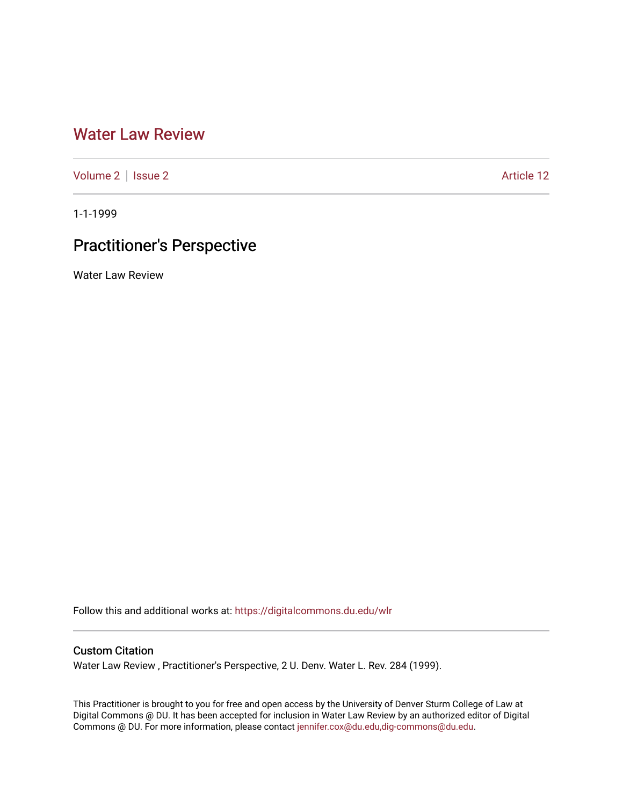## [Water Law Review](https://digitalcommons.du.edu/wlr)

[Volume 2](https://digitalcommons.du.edu/wlr/vol2) | [Issue 2](https://digitalcommons.du.edu/wlr/vol2/iss2) Article 12

1-1-1999

# Practitioner's Perspective

Water Law Review

Follow this and additional works at: [https://digitalcommons.du.edu/wlr](https://digitalcommons.du.edu/wlr?utm_source=digitalcommons.du.edu%2Fwlr%2Fvol2%2Fiss2%2F12&utm_medium=PDF&utm_campaign=PDFCoverPages) 

## Custom Citation

Water Law Review , Practitioner's Perspective, 2 U. Denv. Water L. Rev. 284 (1999).

This Practitioner is brought to you for free and open access by the University of Denver Sturm College of Law at Digital Commons @ DU. It has been accepted for inclusion in Water Law Review by an authorized editor of Digital Commons @ DU. For more information, please contact [jennifer.cox@du.edu,dig-commons@du.edu.](mailto:jennifer.cox@du.edu,dig-commons@du.edu)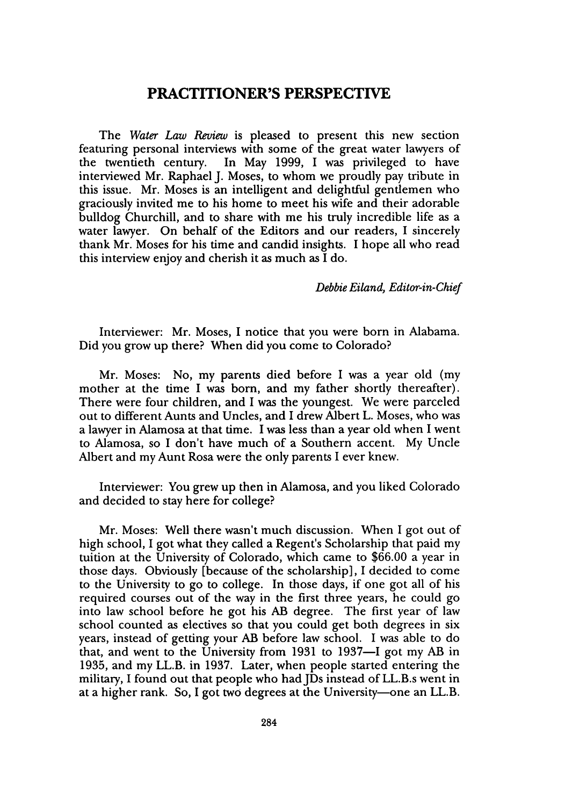## **PRACTITIONER'S PERSPECTIVE**

The *Water Law Review* is pleased to present this new section featuring personal interviews with some of the great water lawyers of the twentieth century. In May 1999, I was privileged to have interviewed Mr. Raphael J. Moses, to whom we proudly pay tribute in this issue. Mr. Moses is an intelligent and delightful gentlemen who graciously invited me to his home to meet his wife and their adorable bulldog Churchill, and to share with me his truly incredible life as a water lawyer. On behalf of the Editors and our readers, I sincerely thank Mr. Moses for his time and candid insights. I hope all who read this interview enjoy and cherish it as much as I do.

*Debbie Eiland, Editor-in-Chief*

Interviewer: Mr. Moses, I notice that you were born in Alabama. Did you grow up there? When did you come to Colorado?

Mr. Moses: No, my parents died before I was a year old (my mother at the time I was born, and my father shortly thereafter). There were four children, and I was the youngest. We were parceled out to different Aunts and Uncles, and I drew Albert L. Moses, who was a lawyer in Alamosa at that time. I was less than a year old when I went to Alamosa, so I don't have much of a Southern accent. My Uncle Albert and my Aunt Rosa were the only parents I ever knew.

Interviewer: You grew up then in Alamosa, and you liked Colorado and decided to stay here for college?

Mr. Moses: Well there wasn't much discussion. When I got out of high school, I got what they called a Regent's Scholarship that paid my tuition at the University of Colorado, which came to \$66.00 a year in those days. Obviously [because of the scholarship], I decided to come to the University to go to college. In those days, if one got all of his required courses out of the way in the first three years, he could go into law school before he got his AB degree. The first year of law school counted as electives so that you could get both degrees in six years, instead of getting your AB before law school. I was able to do that, and went to the University from 1931 to 1937-I got my AB in 1935, and my LL.B. in 1937. Later, when people started entering the military, I found out that people who had JDs instead of LL.B.s went in at a higher rank. So, I got two degrees at the University—one an LL.B.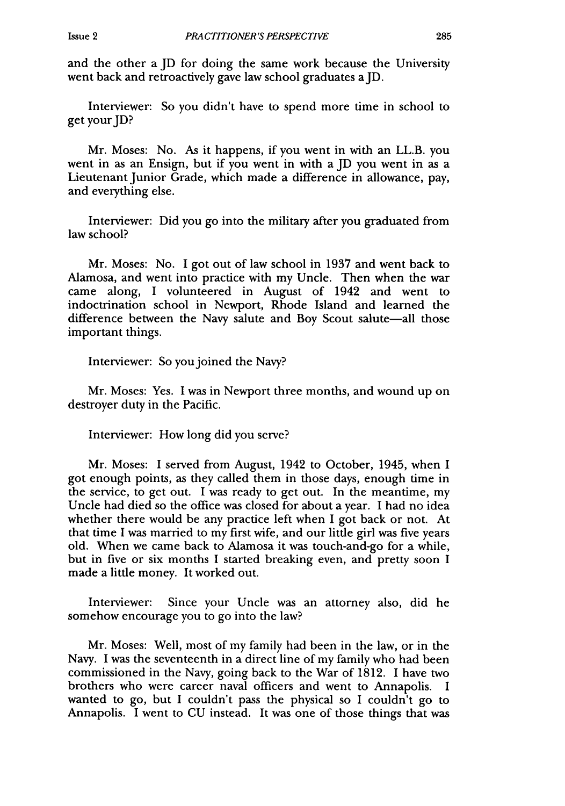and the other a JD for doing the same work because the University went back and retroactively gave law school graduates a ID.

Interviewer: So you didn't have to spend more time in school to get your JD?

Mr. Moses: No. As it happens, if you went in with an LL.B. you went in as an Ensign, but if you went in with a JD you went in as a Lieutenant Junior Grade, which made a difference in allowance, pay, and everything else.

Interviewer: Did you go into the military after you graduated from law school?

Mr. Moses: No. I got out of law school in 1937 and went back to Alamosa, and went into practice with my Uncle. Then when the war came along, I volunteered in August of 1942 and went to indoctrination school in Newport, Rhode Island and learned the difference between the Navy salute and Boy Scout salute-all those important things.

Interviewer: So you joined the Navy?

Mr. Moses: Yes. I was in Newport three months, and wound up on destroyer duty in the Pacific.

Interviewer: How long did you serve?

Mr. Moses: I served from August, 1942 to October, 1945, when I got enough points, as they called them in those days, enough time in the service, to get out. I was ready to get out. In the meantime, my Uncle had died so the office was closed for about a year. I had no idea whether there would be any practice left when I got back or not. At that time I was married to my first wife, and our little girl was five years old. When we came back to Alamosa it was touch-and-go for a while, but in five or six months I started breaking even, and pretty soon I made a little money. It worked out.

Interviewer: Since your Uncle was an attorney also, did he somehow encourage you to go into the law?

Mr. Moses: Well, most of my family had been in the law, or in the Navy. I was the seventeenth in a direct line of my family who had been commissioned in the Navy, going back to the War of 1812. I have two brothers who were career naval officers and went to Annapolis. I wanted to go, but I couldn't pass the physical so I couldn't go to Annapolis. I went to CU instead. It was one of those things that was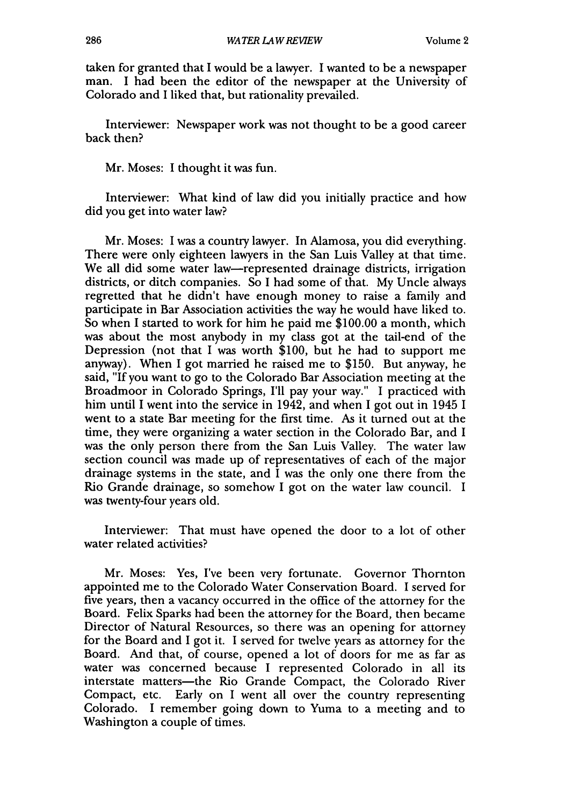taken for granted that I would be a lawyer. I wanted to be a newspaper man. I had been the editor of the newspaper at the University of Colorado and I liked that, but rationality prevailed.

Interviewer: Newspaper work was not thought to be a good career back then?

Mr. Moses: I thought it was fun.

Interviewer: What kind of law did you initially practice and how did you get into water law?

Mr. Moses: I was a country lawyer. In Alamosa, you did everything. There were only eighteen lawyers in the San Luis Valley at that time. We all did some water law-represented drainage districts, irrigation districts, or ditch companies. So I had some of that. My Uncle always regretted that he didn't have enough money to raise a family and participate in Bar Association activities the way he would have liked to. So when I started to work for him he paid me \$100.00 a month, which was about the most anybody in my class got at the tail-end of the Depression (not that I was worth \$100, but he had to support me anyway). When I got married he raised me to \$150. But anyway, he said, "If you want to go to the Colorado Bar Association meeting at the Broadmoor in Colorado Springs, I'll pay your way." I practiced with him until I went into the service in 1942, and when I got out in 1945 I went to a state Bar meeting for the first time. As it turned out at the time, they were organizing a water section in the Colorado Bar, and I was the only person there from the San Luis Valley. The water law section council was made up of representatives of each of the major drainage systems in the state, and I was the only one there from the Rio Grande drainage, so somehow I got on the water law council. I was twenty-four years old.

Interviewer: That must have opened the door to a lot of other water related activities?

Mr. Moses: Yes, I've been very fortunate. Governor Thornton appointed me to the Colorado Water Conservation Board. I served for five years, then a vacancy occurred in the office of the attorney for the Board. Felix Sparks had been the attorney for the Board, then became Director of Natural Resources, so there was an opening for attorney for the Board and I got it. I served for twelve years as attorney for the Board. And that, of course, opened a lot of doors for me as far as water was concerned because I represented Colorado in all its interstate matters-the Rio Grande Compact, the Colorado River Compact, etc. Early on I went all over the country representing Colorado. I remember going down to Yuma to a meeting and to Washington a couple of times.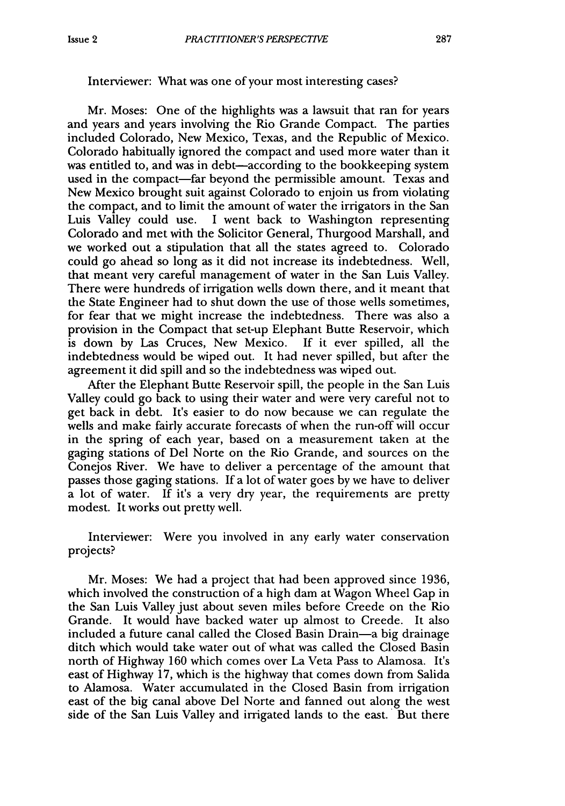#### Interviewer: What was one of your most interesting cases?

Mr. Moses: One of the highlights was a lawsuit that ran for years and years and years involving the Rio Grande Compact. The parties included Colorado, New Mexico, Texas, and the Republic of Mexico. Colorado habitually ignored the compact and used more water than it was entitled to, and was in debt—according to the bookkeeping system used in the compact-far beyond the permissible amount. Texas and New Mexico brought suit against Colorado to enjoin us from violating the compact, and to limit the amount of water the irrigators in the San Luis Valley could use. I went back to Washington representing Colorado and met with the Solicitor General, Thurgood Marshall, and we worked out a stipulation that all the states agreed to. Colorado could go ahead so long as it did not increase its indebtedness. Well, that meant very careful management of water in the San Luis Valley. There were hundreds of irrigation wells down there, and it meant that the State Engineer had to shut down the use of those wells sometimes, for fear that we might increase the indebtedness. There was also a provision in the Compact that set-up Elephant Butte Reservoir, which is down by Las Cruces, New Mexico. If it ever spilled, all the indebtedness would be wiped out. It had never spilled, but after the agreement it did spill and so the indebtedness was wiped out.

After the Elephant Butte Reservoir spill, the people in the San Luis Valley could go back to using their water and were very careful not to get back in debt. It's easier to do now because we can regulate the wells and make fairly accurate forecasts of when the run-off will occur in the spring of each year, based on a measurement taken at the gaging stations of Del Norte on the Rio Grande, and sources on the Conejos River. We have to deliver a percentage of the amount that passes those gaging stations. If a lot of water goes by we have to deliver a lot of water. If it's a very dry year, the requirements are pretty modest. It works out pretty well.

Interviewer: Were you involved in any early water conservation projects?

Mr. Moses: We had a project that had been approved since 1936, which involved the construction of a high dam at Wagon Wheel Gap in the San Luis Valley just about seven miles before Creede on the Rio Grande. It would have backed water up almost to Creede. It also included a future canal called the Closed Basin Drain-a big drainage ditch which would take water out of what was called the Closed Basin north of Highway 160 which comes over La Veta Pass to Alamosa. It's east of Highway 17, which is the highway that comes down from Salida to Alamosa. Water accumulated in the Closed Basin from irrigation east of the big canal above Del Norte and fanned out along the west side of the San Luis Valley and irrigated lands to the east. But there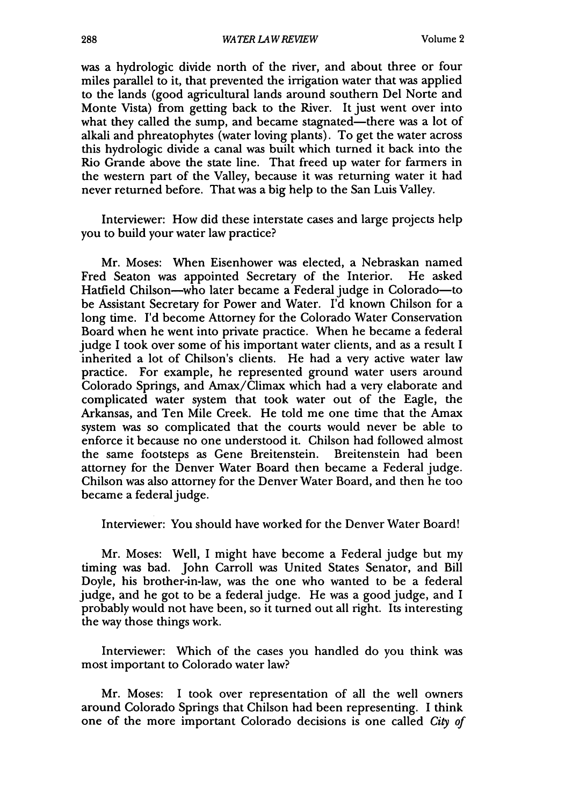*WATER LAW REVIEW*

was a hydrologic divide north of the river, and about three or four miles parallel to it, that prevented the irrigation water that was applied to the lands (good agricultural lands around southern Del Norte and Monte Vista) from getting back to the River. It just went over into what they called the sump, and became stagnated—there was a lot of alkali and phreatophytes (water loving plants). To get the water across this hydrologic divide a canal was built which turned it back into the Rio Grande above the state line. That freed up water for farmers in the western part of the Valley, because it was returning water it had never returned before. That was a big help to the San Luis Valley.

Interviewer: How did these interstate cases and large projects help you to build your water law practice?

Mr. Moses: When Eisenhower was elected, a Nebraskan named Fred Seaton was appointed Secretary of the Interior. He asked Hatfield Chilson-who later became a Federal judge in Colorado-to be Assistant Secretary for Power and Water. I'd known Chilson for a long time. I'd become Attorney for the Colorado Water Conservation Board when he went into private practice. When he became a federal judge I took over some of his important water clients, and as a result I inherited a lot of Chilson's clients. He had a very active water law practice. For example, he represented ground water users around Colorado Springs, and Amax/Climax which had a very elaborate and complicated water system that took water out of the Eagle, the Arkansas, and Ten Mile Creek. He told me one time that the Amax system was so complicated that the courts would never be able to enforce it because no one understood it. Chilson had followed almost the same footsteps as Gene Breitenstein. Breitenstein had been attorney for the Denver Water Board then became a Federal judge. Chilson was also attorney for the Denver Water Board, and then he too became a federal judge.

Interviewer: You should have worked for the Denver Water Board!

Mr. Moses: Well, I might have become a Federal judge but my timing was bad. John Carroll was United States Senator, and Bill Doyle, his brother-in-law, was the one who wanted to be a federal judge, and he got to be a federal judge. He was a good judge, and I probably would not have been, so it turned out all right. Its interesting the way those things work.

Interviewer: Which of the cases you handled do you think was most important to Colorado water law?

Mr. Moses: I took over representation of all the well owners around Colorado Springs that Chilson had been representing. I think one of the more important Colorado decisions is one called *City* of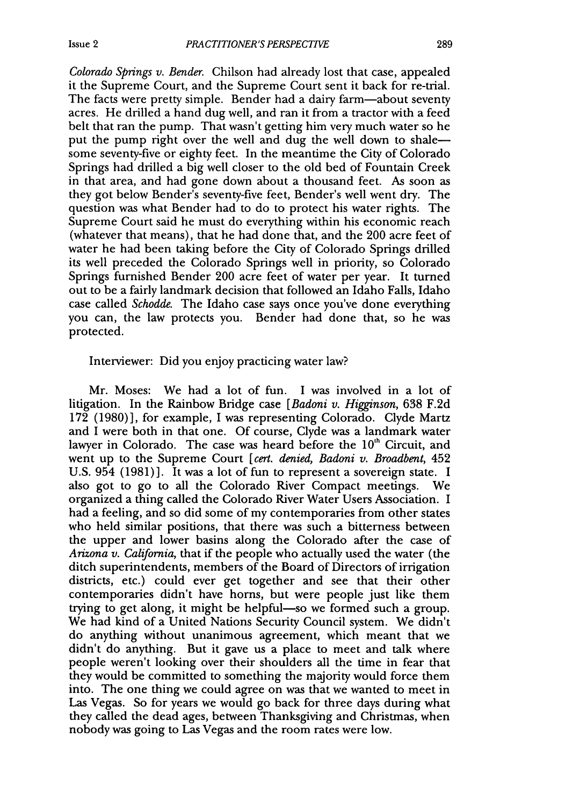*Colorado Springs v. Bender.* Chilson had already lost that case, appealed it the Supreme Court, and the Supreme Court sent it back for re-trial. The facts were pretty simple. Bender had a dairy farm—about seventy acres. He drilled a hand dug well, and ran it from a tractor with a feed belt that ran the pump. That wasn't getting him very much water so he put the pump right over the well and dug the well down to shalesome seventy-five or eighty feet. In the meantime the City of Colorado Springs had drilled a big well closer to the old bed of Fountain Creek in that area, and had gone down about a thousand feet. As soon as they got below Bender's seventy-five feet, Bender's well went dry. The question was what Bender had to do to protect his water rights. The Supreme Court said he must do everything within his economic reach (whatever that means), that he had done that, and the 200 acre feet of water he had been taking before the City of Colorado Springs drilled its well preceded the Colorado Springs well in priority, so Colorado Springs furnished Bender 200 acre feet of water per year. It turned out to be a fairly landmark decision that followed an Idaho Falls, Idaho case called *Schodde.* The Idaho case says once you've done everything you can, the law protects you. Bender had done that, so he was protected.

#### Interviewer: Did you enjoy practicing water law?

Mr. Moses: We had a lot of fun. I was involved in a lot of litigation. In the Rainbow Bridge case *[Badoni v. Higginson,* 638 F.2d 172 (1980)], for example, I was representing Colorado. Clyde Martz and I were both in that one. Of course, Clyde was a landmark water lawyer in Colorado. The case was heard before the  $10<sup>th</sup>$  Circuit, and went up to the Supreme Court *[cert. denied, Badoni v. Broadbent,* 452 U.S. 954 (1981)]. It was a lot of fun to represent a sovereign state. I also got to go to all the Colorado River Compact meetings. We organized a thing called the Colorado River Water Users Association. I had a feeling, and so did some of my contemporaries from other states who held similar positions, that there was such a bitterness between the upper and lower basins along the Colorado after the case of *Arizona v. California,* that if the people who actually used the water (the ditch superintendents, members of the Board of Directors of irrigation districts, etc.) could ever get together and see that their other contemporaries didn't have horns, but were people just like them trying to get along, it might be helpful-so we formed such a group. We had kind of a United Nations Security Council system. We didn't do anything without unanimous agreement, which meant that we didn't do anything. But it gave us a place to meet and talk where people weren't looking over their shoulders all the time in fear that they would be committed to something the majority would force them into. The one thing we could agree on was that we wanted to meet in Las Vegas. So for years we would go back for three days during what they called the dead ages, between Thanksgiving and Christmas, when nobody was going to Las Vegas and the room rates were low.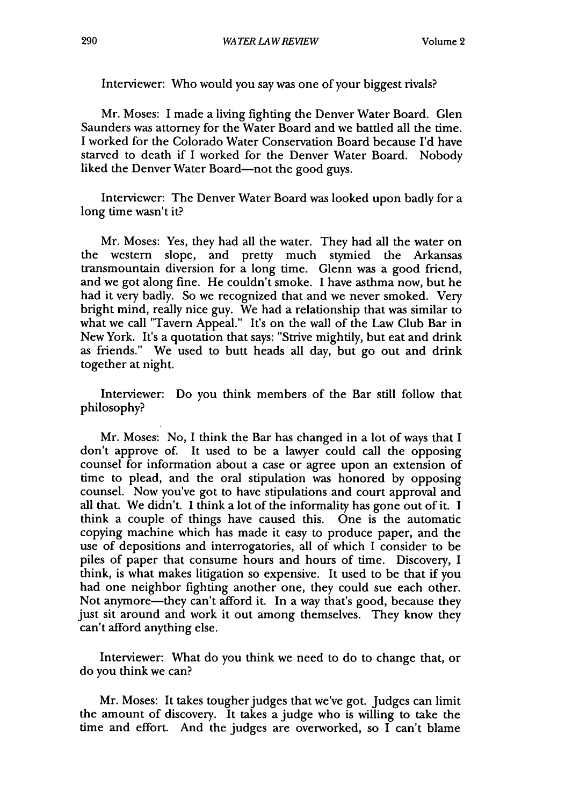Interviewer: Who would you say was one of your biggest rivals?

Mr. Moses: I made a living fighting the Denver Water Board. Glen Saunders was attorney for the Water Board and we battled all the time. I worked for the Colorado Water Conservation Board because I'd have starved to death if I worked for the Denver Water Board. Nobody liked the Denver Water Board-not the good guys.

Interviewer: The Denver Water Board was looked upon badly for a long time wasn't it?

Mr. Moses: Yes, they had all the water. They had all the water on the western slope, and pretty much stymied the Arkansas transmountain diversion for a long time. Glenn was a good friend, and we got along fine. He couldn't smoke. I have asthma now, but he had it very badly. So we recognized that and we never smoked. Very bright mind, really nice guy. We had a relationship that was similar to what we call "Tavern Appeal." It's on the wall of the Law Club Bar in New York. It's a quotation that says: "Strive mightily, but eat and drink as friends." We used to butt heads all day, but go out and drink together at night.

Interviewer: Do you think members of the Bar still follow that philosophy?

Mr. Moses: No, I think the Bar has changed in a lot of ways that I don't approve of. It used to be a lawyer could call the opposing counsel for information about a case or agree upon an extension of time to plead, and the oral stipulation was honored by opposing counsel. Now you've got to have stipulations and court approval and all that. We didn't. I think a lot of the informality has gone out of it. I think a couple of things have caused this. One is the automatic copying machine which has made it easy to produce paper, and the use of depositions and interrogatories, all of which I consider to be piles of paper that consume hours and hours of time. Discovery, I think, is what makes litigation so expensive. It used to be that if you had one neighbor fighting another one, they could sue each other. Not anymore—they can't afford it. In a way that's good, because they just sit around and work it out among themselves. They know they can't afford anything else.

Interviewer: What do you think we need to do to change that, or do you think we can?

Mr. Moses: It takes tougher judges that we've got. Judges can limit the amount of discovery. It takes a judge who is willing to take the time and effort. And the judges are overworked, so I can't blame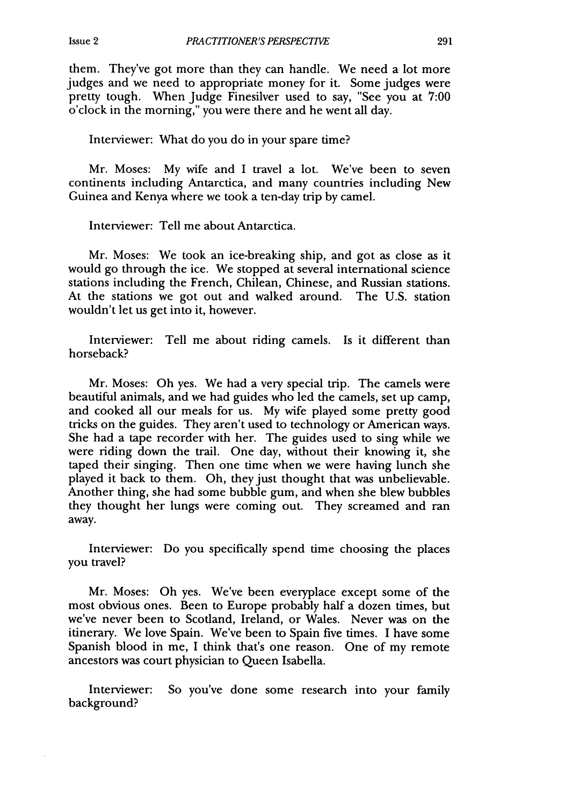them. They've got more than they can handle. We need a lot more judges and we need to appropriate money for it. Some judges were pretty tough. When Judge Finesilver used to say, "See you at 7:00 o'clock in the morning," you were there and he went all day.

Interviewer: What do you do in your spare time?

Mr. Moses: My wife and I travel a lot. We've been to seven continents including Antarctica, and many countries including New Guinea and Kenya where we took a ten-day trip by camel.

Interviewer: Tell me about Antarctica.

Mr. Moses: We took an ice-breaking ship, and got as close as it would go through the ice. We stopped at several international science stations including the French, Chilean, Chinese, and Russian stations. At the stations we got out and walked around. The U.S. station wouldn't let us get into it, however.

Interviewer: Tell me about riding camels. Is it different than horseback?

Mr. Moses: Oh yes. We had a very special trip. The camels were beautiful animals, and we had guides who led the camels, set up camp, and cooked all our meals for us. My wife played some pretty good tricks on the guides. They aren't used to technology or American ways. She had a tape recorder with her. The guides used to sing while we were riding down the trail. One day, without their knowing it, she taped their singing. Then one time when we were having lunch she played it back to them. Oh, they just thought that was unbelievable. Another thing, she had some bubble gum, and when she blew bubbles they thought her lungs were coming out. They screamed and ran away.

Interviewer: Do you specifically spend time choosing the places you travel?

Mr. Moses: Oh yes. We've been everyplace except some of the most obvious ones. Been to Europe probably half a dozen times, but we've never been to Scotland, Ireland, or Wales. Never was on the itinerary. We love Spain. We've been to Spain five times. I have some Spanish blood in me, I think that's one reason. One of my remote ancestors was court physician to Queen Isabella.

Interviewer: So you've done some research into your family background?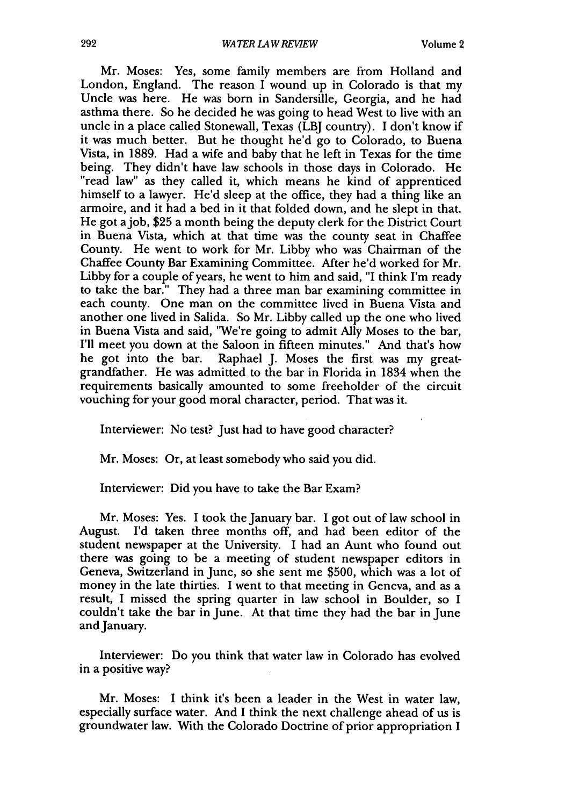Mr. Moses: Yes, some family members are from Holland and London, England. The reason I wound up in Colorado is that my Uncle was here. He was born in Sandersille, Georgia, and he had asthma there. So he decided he was going to head West to live with an uncle in a place called Stonewall, Texas (LBJ country). I don't know if it was much better. But he thought he'd go to Colorado, to Buena Vista, in 1889. Had a wife and baby that he left in Texas for the time "read law" as they called it, which means he kind of apprenticed himself to a lawyer. He'd sleep at the office, they had a thing like an armoire, and it had a bed in it that folded down, and he slept in that. He got ajob, \$25 a month being the deputy clerk for the District Court in Buena Vista, which at that time was the county seat in Chaffee County. He went to work for Mr. Libby who was Chairman of the Chaffee County Bar Examining Committee. After he'd worked for Mr. Libby for a couple of years, he went to him and said, "I think I'm ready to take the bar." They had a three man bar examining committee in each county. One man on the committee lived in Buena Vista and another one lived in Salida. So Mr. Libby called up the one who lived in Buena Vista and said, "We're going to admit Ally Moses to the bar, I'll meet you down at the Saloon in fifteen minutes." And that's how he got into the bar. Raphael J. Moses the first was my greatgrandfather. He was admitted to the bar in Florida in 1834 when the requirements basically amounted to some freeholder of the circuit vouching for your good moral character, period. That was it.

Interviewer: No test? Just had to have good character?

Mr. Moses: Or, at least somebody who said you did.

Interviewer: Did you have to take the Bar Exam?

Mr. Moses: Yes. I took the January bar. I got out of law school in August. I'd taken three months off, and had been editor of the student newspaper at the University. I had an Aunt who found out there was going to be a meeting of student newspaper editors in Geneva, Switzerland in June, so she sent me \$500, which was a lot of money in the late thirties. I went to that meeting in Geneva, and as a result, I missed the spring quarter in law school in Boulder, so I couldn't take the bar in June. At that time they had the bar in June and January.

Interviewer: Do you think that water law in Colorado has evolved in a positive way?

Mr. Moses: I think it's been a leader in the West in water law, especially surface water. And I think the next challenge ahead of us is groundwater law. With the Colorado Doctrine of prior appropriation I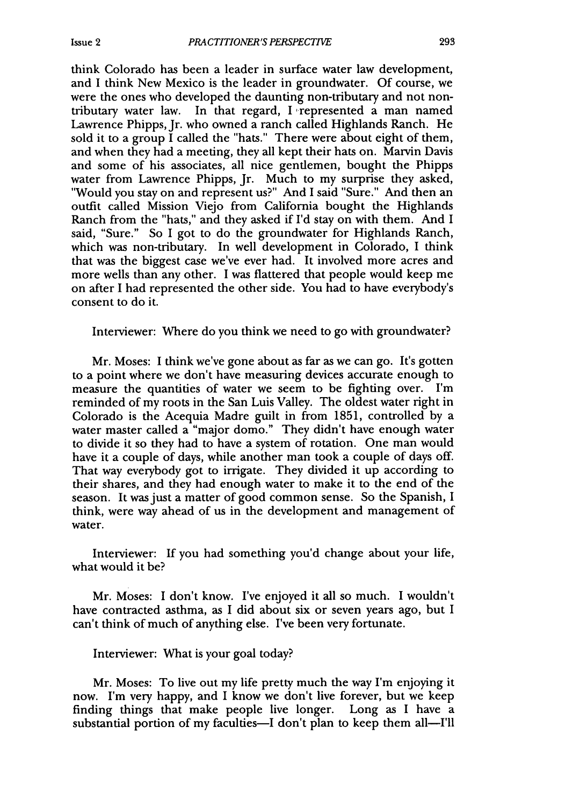think Colorado has been a leader in surface water law development, and I think New Mexico is the leader in groundwater. Of course, we were the ones who developed the daunting non-tributary and not nontributary water law. In that regard, I represented a man named Lawrence Phipps, Jr. who owned a ranch called Highlands Ranch. He sold it to a group  $\overline{I}$  called the "hats." There were about eight of them, and when they had a meeting, they all kept their hats on. Marvin Davis and some of his associates, all nice gentlemen, bought the Phipps water from Lawrence Phipps, Jr. Much to my surprise they asked, "Would you stay on and represent us?" And I said "Sure." And then an outfit called Mission Viejo from California bought the Highlands Ranch from the "hats," and they asked if I'd stay on with them. And I said, "Sure." So I got to do the groundwater for Highlands Ranch, which was non-tributary. In well development in Colorado, I think that was the biggest case we've ever had. It involved more acres and more wells than any other. I was flattered that people would keep me on after I had represented the other side. You had to have everybody's consent to do it.

Interviewer: Where do you think we need to go with groundwater?

Mr. Moses: I think we've gone about as far as we can go. It's gotten to a point where we don't have measuring devices accurate enough to measure the quantities of water we seem to be fighting over. I'm reminded of my roots in the San Luis Valley. The oldest water right in Colorado is the Acequia Madre guilt in from 1851, controlled by a water master called a "major domo." They didn't have enough water to divide it so they had to have a system of rotation. One man would have it a couple of days, while another man took a couple of days off. That way everybody got to irrigate. They divided it up according to their shares, and they had enough water to make it to the end of the season. It was just a matter of good common sense. So the Spanish, I think, were way ahead of us in the development and management of water.

Interviewer: If you had something you'd change about your life, what would it be?

Mr. Moses: I don't know. I've enjoyed it all so much. I wouldn't have contracted asthma, as I did about six or seven years ago, but I can't think of much of anything else. I've been very fortunate.

Interviewer: What is your goal today?

Mr. Moses: To live out my life pretty much the way I'm enjoying it now. I'm very happy, and I know we don't live forever, but we keep finding things that make people live longer. Long as I have a substantial portion of my faculties—I don't plan to keep them all—I'll